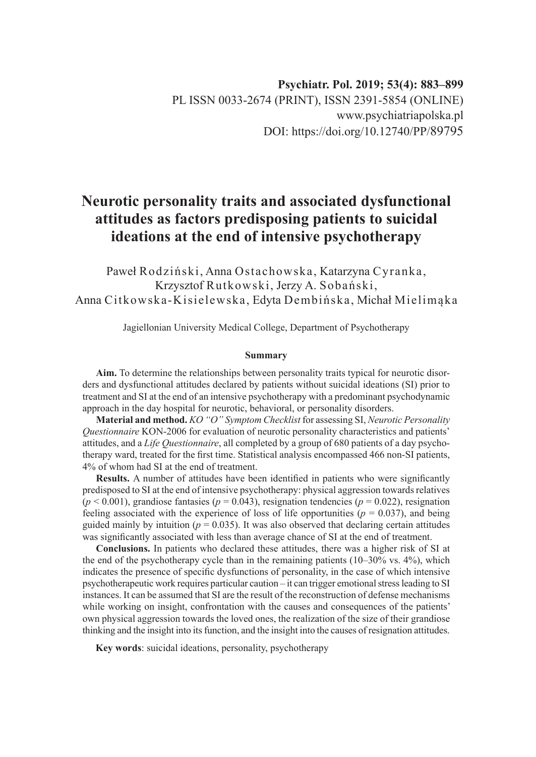# **Neurotic personality traits and associated dysfunctional attitudes as factors predisposing patients to suicidal ideations at the end of intensive psychotherapy**

Paweł Rodziński, Anna Ostachowska, Katarzyna Cyranka, Krzysztof Rutkowski, Jerzy A. Sobański, Anna Citkowska-Kisielewska, Edyta Dembińska, Michał Mielimąka

Jagiellonian University Medical College, Department of Psychotherapy

### **Summary**

**Aim.** To determine the relationships between personality traits typical for neurotic disorders and dysfunctional attitudes declared by patients without suicidal ideations (SI) prior to treatment and SI at the end of an intensive psychotherapy with a predominant psychodynamic approach in the day hospital for neurotic, behavioral, or personality disorders.

**Material and method.** *KO "O" Symptom Checklist* for assessing SI, *Neurotic Personality Questionnaire* KON-2006 for evaluation of neurotic personality characteristics and patients' attitudes, and a *Life Questionnaire*, all completed by a group of 680 patients of a day psychotherapy ward, treated for the first time. Statistical analysis encompassed 466 non-SI patients, 4% of whom had SI at the end of treatment.

**Results.** A number of attitudes have been identified in patients who were significantly predisposed to SI at the end of intensive psychotherapy: physical aggression towards relatives  $(p < 0.001)$ , grandiose fantasies  $(p = 0.043)$ , resignation tendencies  $(p = 0.022)$ , resignation feeling associated with the experience of loss of life opportunities ( $p = 0.037$ ), and being guided mainly by intuition ( $p = 0.035$ ). It was also observed that declaring certain attitudes was significantly associated with less than average chance of SI at the end of treatment.

**Conclusions.** In patients who declared these attitudes, there was a higher risk of SI at the end of the psychotherapy cycle than in the remaining patients (10–30% vs. 4%), which indicates the presence of specific dysfunctions of personality, in the case of which intensive psychotherapeutic work requires particular caution – it can trigger emotional stress leading to SI instances. It can be assumed that SI are the result of the reconstruction of defense mechanisms while working on insight, confrontation with the causes and consequences of the patients' own physical aggression towards the loved ones, the realization of the size of their grandiose thinking and the insight into its function, and the insight into the causes of resignation attitudes.

**Key words**: suicidal ideations, personality, psychotherapy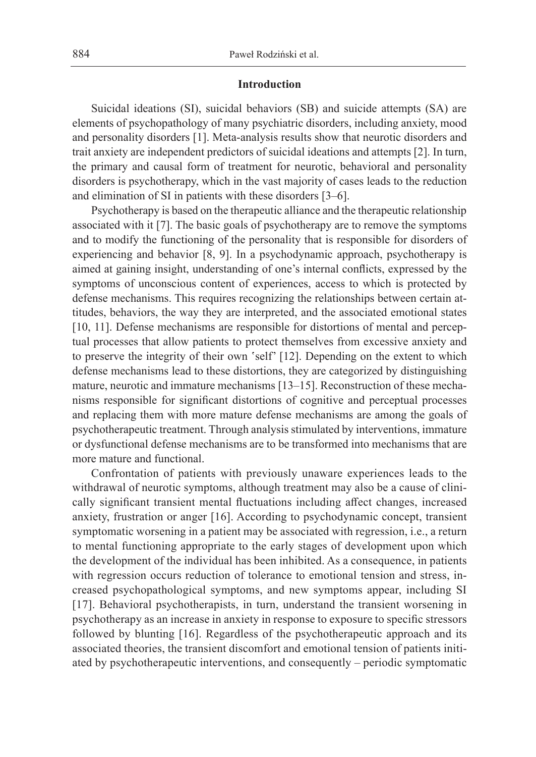### **Introduction**

Suicidal ideations (SI), suicidal behaviors (SB) and suicide attempts (SA) are elements of psychopathology of many psychiatric disorders, including anxiety, mood and personality disorders [1]. Meta-analysis results show that neurotic disorders and trait anxiety are independent predictors of suicidal ideations and attempts [2]. In turn, the primary and causal form of treatment for neurotic, behavioral and personality disorders is psychotherapy, which in the vast majority of cases leads to the reduction and elimination of SI in patients with these disorders [3–6].

Psychotherapy is based on the therapeutic alliance and the therapeutic relationship associated with it [7]. The basic goals of psychotherapy are to remove the symptoms and to modify the functioning of the personality that is responsible for disorders of experiencing and behavior [8, 9]. In a psychodynamic approach, psychotherapy is aimed at gaining insight, understanding of one's internal conflicts, expressed by the symptoms of unconscious content of experiences, access to which is protected by defense mechanisms. This requires recognizing the relationships between certain attitudes, behaviors, the way they are interpreted, and the associated emotional states [10, 11]. Defense mechanisms are responsible for distortions of mental and perceptual processes that allow patients to protect themselves from excessive anxiety and to preserve the integrity of their own 'self' [12]. Depending on the extent to which defense mechanisms lead to these distortions, they are categorized by distinguishing mature, neurotic and immature mechanisms [13–15]. Reconstruction of these mechanisms responsible for significant distortions of cognitive and perceptual processes and replacing them with more mature defense mechanisms are among the goals of psychotherapeutic treatment. Through analysis stimulated by interventions, immature or dysfunctional defense mechanisms are to be transformed into mechanisms that are more mature and functional.

Confrontation of patients with previously unaware experiences leads to the withdrawal of neurotic symptoms, although treatment may also be a cause of clinically significant transient mental fluctuations including affect changes, increased anxiety, frustration or anger [16]. According to psychodynamic concept, transient symptomatic worsening in a patient may be associated with regression, i.e., a return to mental functioning appropriate to the early stages of development upon which the development of the individual has been inhibited. As a consequence, in patients with regression occurs reduction of tolerance to emotional tension and stress, increased psychopathological symptoms, and new symptoms appear, including SI [17]. Behavioral psychotherapists, in turn, understand the transient worsening in psychotherapy as an increase in anxiety in response to exposure to specific stressors followed by blunting [16]. Regardless of the psychotherapeutic approach and its associated theories, the transient discomfort and emotional tension of patients initiated by psychotherapeutic interventions, and consequently – periodic symptomatic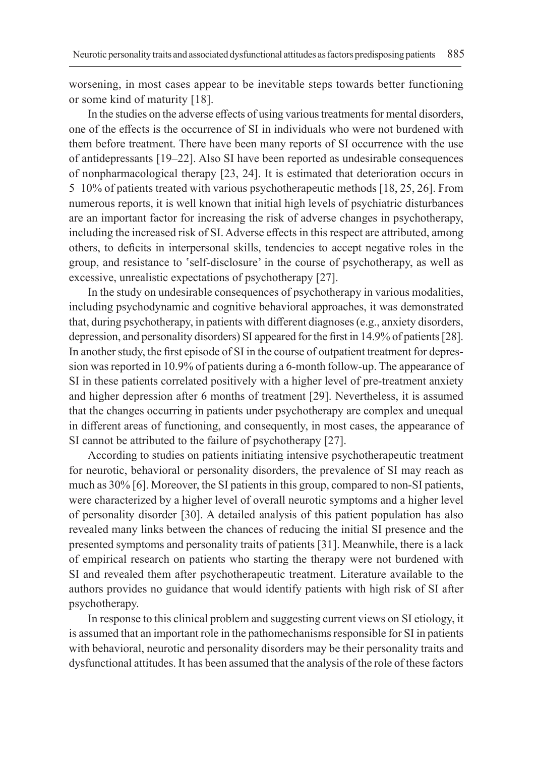worsening, in most cases appear to be inevitable steps towards better functioning or some kind of maturity [18].

In the studies on the adverse effects of using various treatments for mental disorders, one of the effects is the occurrence of SI in individuals who were not burdened with them before treatment. There have been many reports of SI occurrence with the use of antidepressants [19–22]. Also SI have been reported as undesirable consequences of nonpharmacological therapy [23, 24]. It is estimated that deterioration occurs in 5–10% of patients treated with various psychotherapeutic methods [18, 25, 26]. From numerous reports, it is well known that initial high levels of psychiatric disturbances are an important factor for increasing the risk of adverse changes in psychotherapy, including the increased risk of SI. Adverse effects in this respect are attributed, among others, to deficits in interpersonal skills, tendencies to accept negative roles in the group, and resistance to 'self-disclosure' in the course of psychotherapy, as well as excessive, unrealistic expectations of psychotherapy [27].

In the study on undesirable consequences of psychotherapy in various modalities, including psychodynamic and cognitive behavioral approaches, it was demonstrated that, during psychotherapy, in patients with different diagnoses (e.g., anxiety disorders, depression, and personality disorders) SI appeared for the first in 14.9% of patients [28]. In another study, the first episode of SI in the course of outpatient treatment for depression was reported in 10.9% of patients during a 6-month follow-up. The appearance of SI in these patients correlated positively with a higher level of pre-treatment anxiety and higher depression after 6 months of treatment [29]. Nevertheless, it is assumed that the changes occurring in patients under psychotherapy are complex and unequal in different areas of functioning, and consequently, in most cases, the appearance of SI cannot be attributed to the failure of psychotherapy [27].

According to studies on patients initiating intensive psychotherapeutic treatment for neurotic, behavioral or personality disorders, the prevalence of SI may reach as much as 30% [6]. Moreover, the SI patients in this group, compared to non-SI patients, were characterized by a higher level of overall neurotic symptoms and a higher level of personality disorder [30]. A detailed analysis of this patient population has also revealed many links between the chances of reducing the initial SI presence and the presented symptoms and personality traits of patients [31]. Meanwhile, there is a lack of empirical research on patients who starting the therapy were not burdened with SI and revealed them after psychotherapeutic treatment. Literature available to the authors provides no guidance that would identify patients with high risk of SI after psychotherapy.

In response to this clinical problem and suggesting current views on SI etiology, it is assumed that an important role in the pathomechanisms responsible for SI in patients with behavioral, neurotic and personality disorders may be their personality traits and dysfunctional attitudes. It has been assumed that the analysis of the role of these factors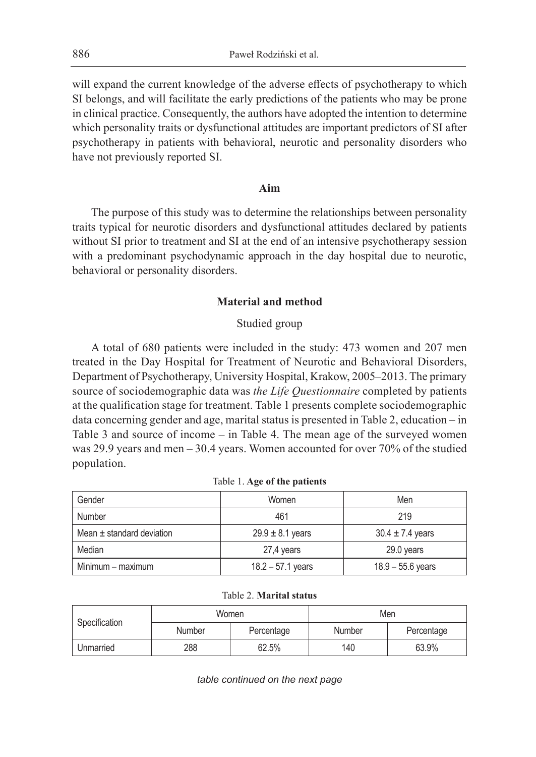will expand the current knowledge of the adverse effects of psychotherapy to which SI belongs, and will facilitate the early predictions of the patients who may be prone in clinical practice. Consequently, the authors have adopted the intention to determine which personality traits or dysfunctional attitudes are important predictors of SI after psychotherapy in patients with behavioral, neurotic and personality disorders who have not previously reported SI.

# **Aim**

The purpose of this study was to determine the relationships between personality traits typical for neurotic disorders and dysfunctional attitudes declared by patients without SI prior to treatment and SI at the end of an intensive psychotherapy session with a predominant psychodynamic approach in the day hospital due to neurotic, behavioral or personality disorders.

### **Material and method**

### Studied group

A total of 680 patients were included in the study: 473 women and 207 men treated in the Day Hospital for Treatment of Neurotic and Behavioral Disorders, Department of Psychotherapy, University Hospital, Krakow, 2005–2013. The primary source of sociodemographic data was *the Life Questionnaire* completed by patients at the qualification stage for treatment. Table 1 presents complete sociodemographic data concerning gender and age, marital status is presented in Table 2, education – in Table 3 and source of income – in Table 4. The mean age of the surveyed women was 29.9 years and men – 30.4 years. Women accounted for over 70% of the studied population.

| Gender                        | Women                | Men                  |
|-------------------------------|----------------------|----------------------|
| Number                        | 461                  | 219                  |
| Mean $\pm$ standard deviation | $29.9 \pm 8.1$ years | $30.4 \pm 7.4$ years |
| Median                        | 27,4 years           | 29.0 years           |
| Minimum – maximum             | $18.2 - 57.1$ years  | $18.9 - 55.6$ years  |

Table 2. **Marital status**

| Specification        | Women |        | Men        |       |  |
|----------------------|-------|--------|------------|-------|--|
| Number<br>Percentage |       | Number | Percentage |       |  |
| Unmarried            | 288   | 62.5%  | 140        | 63.9% |  |

*table continued on the next page*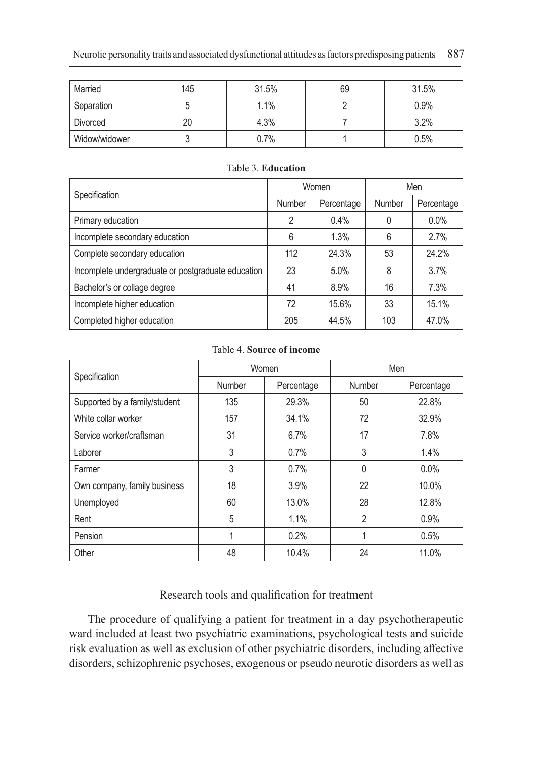| Married       | 145 | 31.5%<br>69 |  | 31.5% |
|---------------|-----|-------------|--|-------|
| Separation    |     | 1.1%        |  | 0.9%  |
| Divorced      | 20  | 4.3%        |  | 3.2%  |
| Widow/widower |     | 0.7%        |  | 0.5%  |

| Specification                                      |        | Women      | Men    |            |  |
|----------------------------------------------------|--------|------------|--------|------------|--|
|                                                    | Number | Percentage | Number | Percentage |  |
| Primary education                                  | 2      | 0.4%       | 0      | $0.0\%$    |  |
| Incomplete secondary education                     | 6      | 1.3%       | 6      | 2.7%       |  |
| Complete secondary education                       | 112    | 24.3%      | 53     | 24.2%      |  |
| Incomplete undergraduate or postgraduate education | 23     | 5.0%       | 8      | 3.7%       |  |
| Bachelor's or collage degree                       | 41     | 8.9%       | 16     | 7.3%       |  |
| Incomplete higher education                        | 72     | 15.6%      | 33     | 15.1%      |  |
| Completed higher education                         | 205    | 44.5%      | 103    | 47.0%      |  |

### Table 3. **Education**

### Table 4. **Source of income**

|                               |        | Women      | Men            |            |  |
|-------------------------------|--------|------------|----------------|------------|--|
| Specification                 | Number | Percentage | Number         | Percentage |  |
| Supported by a family/student | 135    | 29.3%      | 50             | 22.8%      |  |
| White collar worker           | 157    | 34.1%      | 72             | 32.9%      |  |
| Service worker/craftsman      | 31     | 6.7%       | 17             | 7.8%       |  |
| Laborer                       | 3      | 0.7%       | 3              | 1.4%       |  |
| Farmer                        | 3      | 0.7%       | $\Omega$       | $0.0\%$    |  |
| Own company, family business  | 18     | 3.9%       | 22             | 10.0%      |  |
| Unemployed                    | 60     | 13.0%      | 28             | 12.8%      |  |
| Rent                          | 5      | 1.1%       | $\overline{2}$ | 0.9%       |  |
| Pension                       | 1      | 0.2%       | 1              | 0.5%       |  |
| Other                         | 48     | 10.4%      | 24             | 11.0%      |  |

# Research tools and qualification for treatment

The procedure of qualifying a patient for treatment in a day psychotherapeutic ward included at least two psychiatric examinations, psychological tests and suicide risk evaluation as well as exclusion of other psychiatric disorders, including affective disorders, schizophrenic psychoses, exogenous or pseudo neurotic disorders as well as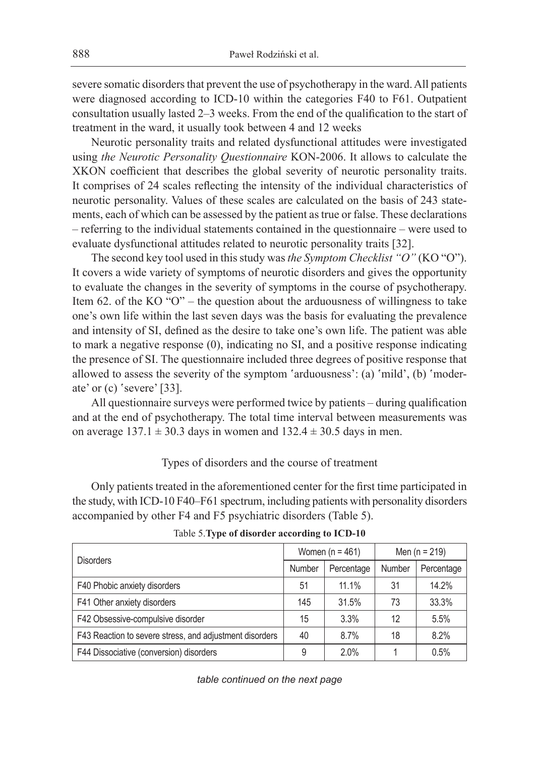severe somatic disorders that prevent the use of psychotherapy in the ward. All patients were diagnosed according to ICD-10 within the categories F40 to F61. Outpatient consultation usually lasted 2–3 weeks. From the end of the qualification to the start of treatment in the ward, it usually took between 4 and 12 weeks

Neurotic personality traits and related dysfunctional attitudes were investigated using *the Neurotic Personality Questionnaire* KON-2006. It allows to calculate the XKON coefficient that describes the global severity of neurotic personality traits. It comprises of 24 scales reflecting the intensity of the individual characteristics of neurotic personality. Values of these scales are calculated on the basis of 243 statements, each of which can be assessed by the patient as true or false. These declarations – referring to the individual statements contained in the questionnaire – were used to evaluate dysfunctional attitudes related to neurotic personality traits [32].

The second key tool used in this study was *the Symptom Checklist "O"* (KO "O"). It covers a wide variety of symptoms of neurotic disorders and gives the opportunity to evaluate the changes in the severity of symptoms in the course of psychotherapy. Item 62. of the KO "O" – the question about the arduousness of willingness to take one's own life within the last seven days was the basis for evaluating the prevalence and intensity of SI, defined as the desire to take one's own life. The patient was able to mark a negative response (0), indicating no SI, and a positive response indicating the presence of SI. The questionnaire included three degrees of positive response that allowed to assess the severity of the symptom 'arduousness': (a) 'mild', (b) 'moderate' or (c) 'severe' [33].

All questionnaire surveys were performed twice by patients – during qualification and at the end of psychotherapy. The total time interval between measurements was on average  $137.1 \pm 30.3$  days in women and  $132.4 \pm 30.5$  days in men.

### Types of disorders and the course of treatment

Only patients treated in the aforementioned center for the first time participated in the study, with ICD-10 F40–F61 spectrum, including patients with personality disorders accompanied by other F4 and F5 psychiatric disorders (Table 5).

| <b>Disorders</b>                                        |        | Women ( $n = 461$ ) | Men ( $n = 219$ ) |            |  |
|---------------------------------------------------------|--------|---------------------|-------------------|------------|--|
|                                                         | Number | Percentage          | Number            | Percentage |  |
| F40 Phobic anxiety disorders                            | 51     | 11.1%               | 31                | 14.2%      |  |
| F41 Other anxiety disorders                             | 145    | 31.5%               | 73                | 33.3%      |  |
| F42 Obsessive-compulsive disorder                       | 15     | 3.3%                | 12                | 5.5%       |  |
| F43 Reaction to severe stress, and adjustment disorders | 40     | 8.7%                | 18                | 8.2%       |  |
| F44 Dissociative (conversion) disorders                 | 9      | 2.0%                |                   | 0.5%       |  |

Table 5.**Type of disorder according to ICD-10**

*table continued on the next page*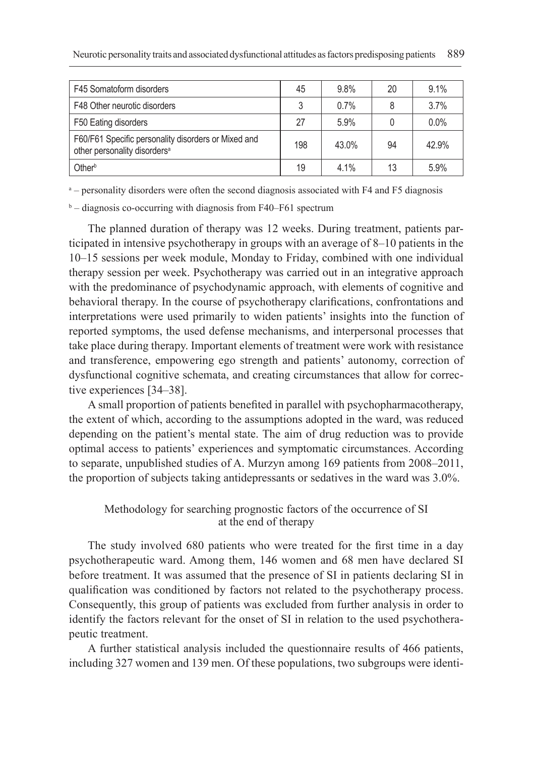| F45 Somatoform disorders                                                                        | 45  | 9.8%  | 20 | 9.1%  |
|-------------------------------------------------------------------------------------------------|-----|-------|----|-------|
| F48 Other neurotic disorders                                                                    | 3   | 0.7%  |    | 3.7%  |
| F50 Eating disorders                                                                            | 27  | 5.9%  |    | 0.0%  |
| F60/F61 Specific personality disorders or Mixed and<br>other personality disorders <sup>a</sup> | 198 | 43.0% | 94 | 42.9% |
| Other <sup>b</sup>                                                                              | 19  | 4.1%  | 13 | 5.9%  |

a – personality disorders were often the second diagnosis associated with F4 and F5 diagnosis

b – diagnosis co-occurring with diagnosis from F40–F61 spectrum

The planned duration of therapy was 12 weeks. During treatment, patients participated in intensive psychotherapy in groups with an average of 8–10 patients in the 10–15 sessions per week module, Monday to Friday, combined with one individual therapy session per week. Psychotherapy was carried out in an integrative approach with the predominance of psychodynamic approach, with elements of cognitive and behavioral therapy. In the course of psychotherapy clarifications, confrontations and interpretations were used primarily to widen patients' insights into the function of reported symptoms, the used defense mechanisms, and interpersonal processes that take place during therapy. Important elements of treatment were work with resistance and transference, empowering ego strength and patients' autonomy, correction of dysfunctional cognitive schemata, and creating circumstances that allow for corrective experiences [34–38].

A small proportion of patients benefited in parallel with psychopharmacotherapy, the extent of which, according to the assumptions adopted in the ward, was reduced depending on the patient's mental state. The aim of drug reduction was to provide optimal access to patients' experiences and symptomatic circumstances. According to separate, unpublished studies of A. Murzyn among 169 patients from 2008–2011, the proportion of subjects taking antidepressants or sedatives in the ward was 3.0%.

# Methodology for searching prognostic factors of the occurrence of SI at the end of therapy

The study involved 680 patients who were treated for the first time in a day psychotherapeutic ward. Among them, 146 women and 68 men have declared SI before treatment. It was assumed that the presence of SI in patients declaring SI in qualification was conditioned by factors not related to the psychotherapy process. Consequently, this group of patients was excluded from further analysis in order to identify the factors relevant for the onset of SI in relation to the used psychotherapeutic treatment.

A further statistical analysis included the questionnaire results of 466 patients, including 327 women and 139 men. Of these populations, two subgroups were identi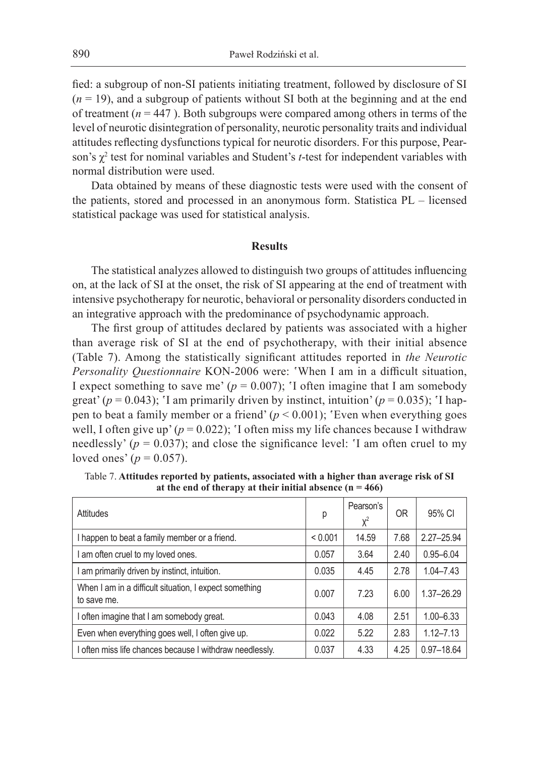fied: a subgroup of non-SI patients initiating treatment, followed by disclosure of SI  $(n = 19)$ , and a subgroup of patients without SI both at the beginning and at the end of treatment ( $n = 447$ ). Both subgroups were compared among others in terms of the level of neurotic disintegration of personality, neurotic personality traits and individual attitudes reflecting dysfunctions typical for neurotic disorders. For this purpose, Pearson's χ<sup>2</sup> test for nominal variables and Student's *t*-test for independent variables with normal distribution were used.

Data obtained by means of these diagnostic tests were used with the consent of the patients, stored and processed in an anonymous form. Statistica PL – licensed statistical package was used for statistical analysis.

### **Results**

The statistical analyzes allowed to distinguish two groups of attitudes influencing on, at the lack of SI at the onset, the risk of SI appearing at the end of treatment with intensive psychotherapy for neurotic, behavioral or personality disorders conducted in an integrative approach with the predominance of psychodynamic approach.

The first group of attitudes declared by patients was associated with a higher than average risk of SI at the end of psychotherapy, with their initial absence (Table 7). Among the statistically significant attitudes reported in *the Neurotic Personality Questionnaire* KON-2006 were: 'When I am in a difficult situation, I expect something to save me'  $(p = 0.007)$ ; 'I often imagine that I am somebody great' ( $p = 0.043$ ); 'I am primarily driven by instinct, intuition' ( $p = 0.035$ ); 'I happen to beat a family member or a friend'  $(p < 0.001)$ ; 'Even when everything goes well, I often give up'  $(p = 0.022)$ ; 'I often miss my life chances because I withdraw needlessly' ( $p = 0.037$ ); and close the significance level: 'I am often cruel to my loved ones' ( $p = 0.057$ ).

| Attitudes                                                             | р       | Pearson's<br>$X^2$ | 0 <sub>R</sub> | 95% CI         |
|-----------------------------------------------------------------------|---------|--------------------|----------------|----------------|
| I happen to beat a family member or a friend.                         | < 0.001 | 14.59              | 7.68           | $2.27 - 25.94$ |
| am often cruel to my loved ones.                                      | 0.057   | 3.64               | 2.40           | $0.95 - 6.04$  |
| am primarily driven by instinct, intuition.                           | 0.035   | 4.45               | 2.78           | $1.04 - 7.43$  |
| When I am in a difficult situation, I expect something<br>to save me. | 0.007   | 7.23               | 6.00           | 1.37-26.29     |
| often imagine that I am somebody great.                               | 0.043   | 4.08               | 2.51           | $1.00 - 6.33$  |
| Even when everything goes well, I often give up.                      | 0.022   | 5.22               | 2.83           | $1.12 - 7.13$  |
| I often miss life chances because I withdraw needlessly.              | 0.037   | 4.33               | 4.25           | $0.97 - 18.64$ |

Table 7. **Attitudes reported by patients, associated with a higher than average risk of SI at the end of therapy at their initial absence (n = 466)**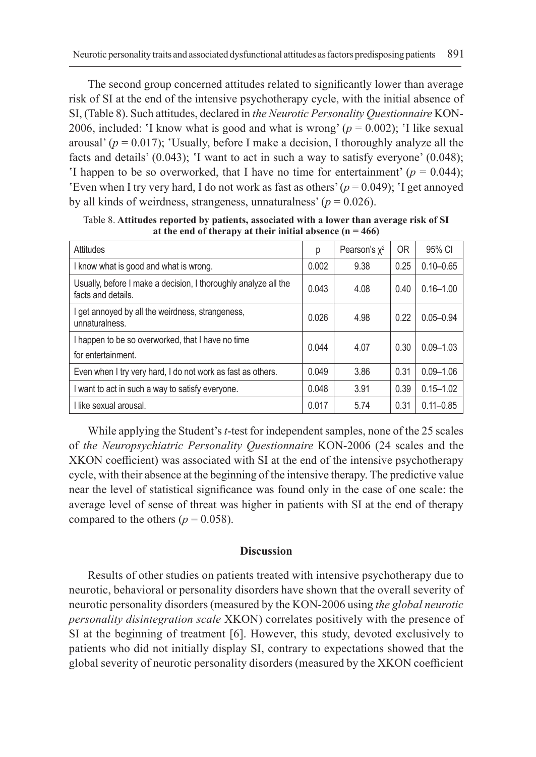The second group concerned attitudes related to significantly lower than average risk of SI at the end of the intensive psychotherapy cycle, with the initial absence of SI, (Table 8). Such attitudes, declared in *the Neurotic Personality Questionnaire* KON-2006, included: 'I know what is good and what is wrong'  $(p = 0.002)$ ; 'I like sexual arousal' ( $p = 0.017$ ); 'Usually, before I make a decision, I thoroughly analyze all the facts and details' (0.043); 'I want to act in such a way to satisfy everyone' (0.048); 'I happen to be so overworked, that I have no time for entertainment'  $(p = 0.044)$ ; 'Even when I try very hard, I do not work as fast as others'  $(p = 0.049)$ ; 'I get annoyed by all kinds of weirdness, strangeness, unnaturalness'  $(p = 0.026)$ .

| <b>Attitudes</b>                                                                      | р     | Pearson's $x^2$ | 0R   | 95% CI        |
|---------------------------------------------------------------------------------------|-------|-----------------|------|---------------|
| I know what is good and what is wrong.                                                | 0.002 | 9.38            | 0.25 | $0.10 - 0.65$ |
| Usually, before I make a decision, I thoroughly analyze all the<br>facts and details. | 0.043 | 4.08            | 0.40 | $0.16 - 1.00$ |
| I get annoyed by all the weirdness, strangeness,<br>unnaturalness.                    | 0.026 | 4.98            | 0.22 | $0.05 - 0.94$ |
| I happen to be so overworked, that I have no time<br>for entertainment.               | 0.044 | 4.07            | 0.30 | $0.09 - 1.03$ |
| Even when I try very hard, I do not work as fast as others.                           | 0.049 | 3.86            | 0.31 | $0.09 - 1.06$ |
| I want to act in such a way to satisfy everyone.                                      | 0.048 | 3.91            | 0.39 | $0.15 - 1.02$ |
| I like sexual arousal.                                                                | 0.017 | 5.74            | 0.31 | $0.11 - 0.85$ |

Table 8. **Attitudes reported by patients, associated with a lower than average risk of SI at the end of therapy at their initial absence (n = 466)**

While applying the Student's *t*-test for independent samples, none of the 25 scales of *the Neuropsychiatric Personality Questionnaire* KON-2006 (24 scales and the XKON coefficient) was associated with SI at the end of the intensive psychotherapy cycle, with their absence at the beginning of the intensive therapy. The predictive value near the level of statistical significance was found only in the case of one scale: the average level of sense of threat was higher in patients with SI at the end of therapy compared to the others ( $p = 0.058$ ).

#### **Discussion**

Results of other studies on patients treated with intensive psychotherapy due to neurotic, behavioral or personality disorders have shown that the overall severity of neurotic personality disorders (measured by the KON-2006 using *the global neurotic personality disintegration scale* XKON) correlates positively with the presence of SI at the beginning of treatment [6]. However, this study, devoted exclusively to patients who did not initially display SI, contrary to expectations showed that the global severity of neurotic personality disorders (measured by the XKON coefficient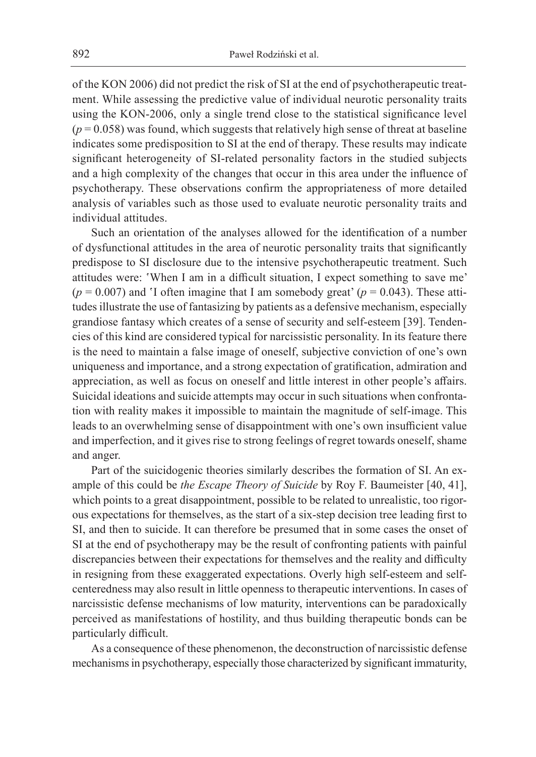of the KON 2006) did not predict the risk of SI at the end of psychotherapeutic treatment. While assessing the predictive value of individual neurotic personality traits using the KON-2006, only a single trend close to the statistical significance level  $(p = 0.058)$  was found, which suggests that relatively high sense of threat at baseline indicates some predisposition to SI at the end of therapy. These results may indicate significant heterogeneity of SI-related personality factors in the studied subjects and a high complexity of the changes that occur in this area under the influence of psychotherapy. These observations confirm the appropriateness of more detailed analysis of variables such as those used to evaluate neurotic personality traits and individual attitudes.

Such an orientation of the analyses allowed for the identification of a number of dysfunctional attitudes in the area of neurotic personality traits that significantly predispose to SI disclosure due to the intensive psychotherapeutic treatment. Such attitudes were: 'When I am in a difficult situation, I expect something to save me'  $(p = 0.007)$  and 'I often imagine that I am somebody great'  $(p = 0.043)$ . These attitudes illustrate the use of fantasizing by patients as a defensive mechanism, especially grandiose fantasy which creates of a sense of security and self-esteem [39]. Tendencies of this kind are considered typical for narcissistic personality. In its feature there is the need to maintain a false image of oneself, subjective conviction of one's own uniqueness and importance, and a strong expectation of gratification, admiration and appreciation, as well as focus on oneself and little interest in other people's affairs. Suicidal ideations and suicide attempts may occur in such situations when confrontation with reality makes it impossible to maintain the magnitude of self-image. This leads to an overwhelming sense of disappointment with one's own insufficient value and imperfection, and it gives rise to strong feelings of regret towards oneself, shame and anger.

Part of the suicidogenic theories similarly describes the formation of SI. An example of this could be *the Escape Theory of Suicide* by Roy F. Baumeister [40, 41], which points to a great disappointment, possible to be related to unrealistic, too rigorous expectations for themselves, as the start of a six-step decision tree leading first to SI, and then to suicide. It can therefore be presumed that in some cases the onset of SI at the end of psychotherapy may be the result of confronting patients with painful discrepancies between their expectations for themselves and the reality and difficulty in resigning from these exaggerated expectations. Overly high self-esteem and selfcenteredness may also result in little openness to therapeutic interventions. In cases of narcissistic defense mechanisms of low maturity, interventions can be paradoxically perceived as manifestations of hostility, and thus building therapeutic bonds can be particularly difficult.

As a consequence of these phenomenon, the deconstruction of narcissistic defense mechanisms in psychotherapy, especially those characterized by significant immaturity,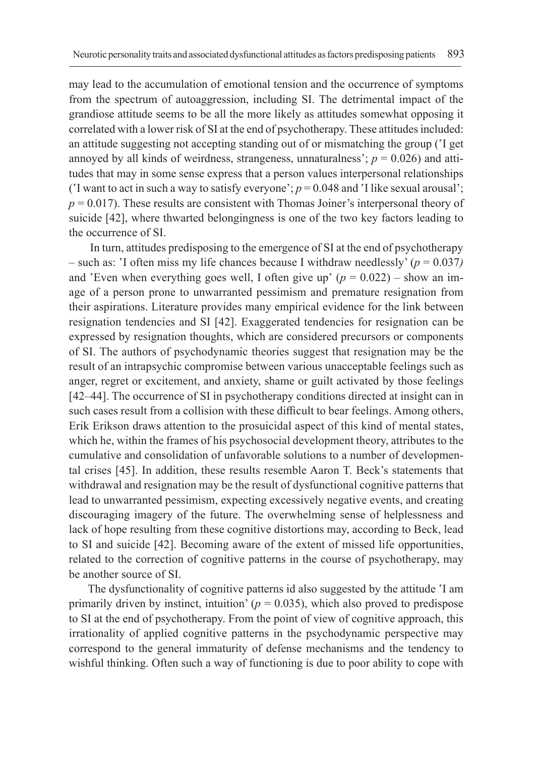may lead to the accumulation of emotional tension and the occurrence of symptoms from the spectrum of autoaggression, including SI. The detrimental impact of the grandiose attitude seems to be all the more likely as attitudes somewhat opposing it correlated with a lower risk of SI at the end of psychotherapy. These attitudes included: an attitude suggesting not accepting standing out of or mismatching the group ('I get annoyed by all kinds of weirdness, strangeness, unnaturalness';  $p = 0.026$ ) and attitudes that may in some sense express that a person values interpersonal relationships ('I want to act in such a way to satisfy everyone';  $p = 0.048$  and 'I like sexual arousal';  $p = 0.017$ ). These results are consistent with Thomas Joiner's interpersonal theory of suicide [42], where thwarted belongingness is one of the two key factors leading to the occurrence of SI.

 In turn, attitudes predisposing to the emergence of SI at the end of psychotherapy  $-$  such as: 'I often miss my life chances because I withdraw needlessly' ( $p = 0.037$ ) and 'Even when everything goes well, I often give up'  $(p = 0.022)$  – show an image of a person prone to unwarranted pessimism and premature resignation from their aspirations. Literature provides many empirical evidence for the link between resignation tendencies and SI [42]. Exaggerated tendencies for resignation can be expressed by resignation thoughts, which are considered precursors or components of SI. The authors of psychodynamic theories suggest that resignation may be the result of an intrapsychic compromise between various unacceptable feelings such as anger, regret or excitement, and anxiety, shame or guilt activated by those feelings [42–44]. The occurrence of SI in psychotherapy conditions directed at insight can in such cases result from a collision with these difficult to bear feelings. Among others, Erik Erikson draws attention to the prosuicidal aspect of this kind of mental states, which he, within the frames of his psychosocial development theory, attributes to the cumulative and consolidation of unfavorable solutions to a number of developmental crises [45]. In addition, these results resemble Aaron T. Beck's statements that withdrawal and resignation may be the result of dysfunctional cognitive patterns that lead to unwarranted pessimism, expecting excessively negative events, and creating discouraging imagery of the future. The overwhelming sense of helplessness and lack of hope resulting from these cognitive distortions may, according to Beck, lead to SI and suicide [42]. Becoming aware of the extent of missed life opportunities, related to the correction of cognitive patterns in the course of psychotherapy, may be another source of SI.

The dysfunctionality of cognitive patterns id also suggested by the attitude 'I am primarily driven by instinct, intuition'  $(p = 0.035)$ , which also proved to predispose to SI at the end of psychotherapy. From the point of view of cognitive approach, this irrationality of applied cognitive patterns in the psychodynamic perspective may correspond to the general immaturity of defense mechanisms and the tendency to wishful thinking. Often such a way of functioning is due to poor ability to cope with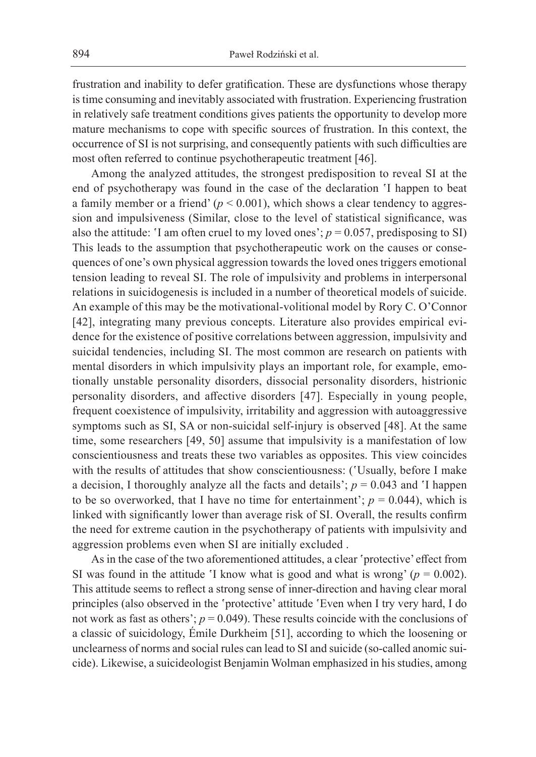frustration and inability to defer gratification. These are dysfunctions whose therapy is time consuming and inevitably associated with frustration. Experiencing frustration in relatively safe treatment conditions gives patients the opportunity to develop more mature mechanisms to cope with specific sources of frustration. In this context, the occurrence of SI is not surprising, and consequently patients with such difficulties are most often referred to continue psychotherapeutic treatment [46].

Among the analyzed attitudes, the strongest predisposition to reveal SI at the end of psychotherapy was found in the case of the declaration 'I happen to beat a family member or a friend'  $(p < 0.001)$ , which shows a clear tendency to aggression and impulsiveness (Similar, close to the level of statistical significance, was also the attitude: 'I am often cruel to my loved ones';  $p = 0.057$ , predisposing to SI) This leads to the assumption that psychotherapeutic work on the causes or consequences of one's own physical aggression towards the loved ones triggers emotional tension leading to reveal SI. The role of impulsivity and problems in interpersonal relations in suicidogenesis is included in a number of theoretical models of suicide. An example of this may be the motivational-volitional model by Rory C. O'Connor [42], integrating many previous concepts. Literature also provides empirical evidence for the existence of positive correlations between aggression, impulsivity and suicidal tendencies, including SI. The most common are research on patients with mental disorders in which impulsivity plays an important role, for example, emotionally unstable personality disorders, dissocial personality disorders, histrionic personality disorders, and affective disorders [47]. Especially in young people, frequent coexistence of impulsivity, irritability and aggression with autoaggressive symptoms such as SI, SA or non-suicidal self-injury is observed [48]. At the same time, some researchers [49, 50] assume that impulsivity is a manifestation of low conscientiousness and treats these two variables as opposites. This view coincides with the results of attitudes that show conscientiousness: ('Usually, before I make a decision, I thoroughly analyze all the facts and details';  $p = 0.043$  and 'I happen to be so overworked, that I have no time for entertainment';  $p = 0.044$ ), which is linked with significantly lower than average risk of SI. Overall, the results confirm the need for extreme caution in the psychotherapy of patients with impulsivity and aggression problems even when SI are initially excluded .

As in the case of the two aforementioned attitudes, a clear 'protective' effect from SI was found in the attitude 'I know what is good and what is wrong'  $(p = 0.002)$ . This attitude seems to reflect a strong sense of inner-direction and having clear moral principles (also observed in the 'protective' attitude 'Even when I try very hard, I do not work as fast as others';  $p = 0.049$ ). These results coincide with the conclusions of a classic of suicidology, Émile Durkheim [51], according to which the loosening or unclearness of norms and social rules can lead to SI and suicide (so-called anomic suicide). Likewise, a suicideologist Benjamin Wolman emphasized in his studies, among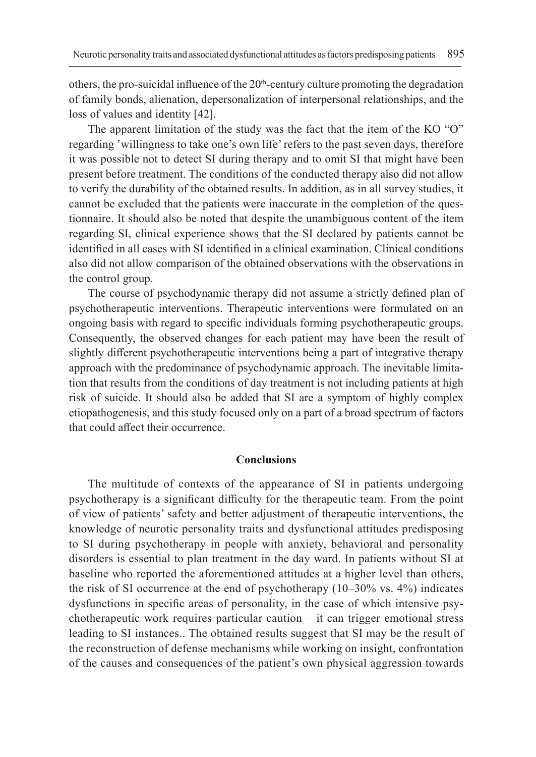others, the pro-suicidal influence of the  $20<sup>th</sup>$ -century culture promoting the degradation of family bonds, alienation, depersonalization of interpersonal relationships, and the loss of values and identity [42].

The apparent limitation of the study was the fact that the item of the KO "O" regarding 'willingness to take one's own life' refers to the past seven days, therefore it was possible not to detect SI during therapy and to omit SI that might have been present before treatment. The conditions of the conducted therapy also did not allow to verify the durability of the obtained results. In addition, as in all survey studies, it cannot be excluded that the patients were inaccurate in the completion of the questionnaire. It should also be noted that despite the unambiguous content of the item regarding SI, clinical experience shows that the SI declared by patients cannot be identified in all cases with SI identified in a clinical examination. Clinical conditions also did not allow comparison of the obtained observations with the observations in the control group.

The course of psychodynamic therapy did not assume a strictly defined plan of psychotherapeutic interventions. Therapeutic interventions were formulated on an ongoing basis with regard to specific individuals forming psychotherapeutic groups. Consequently, the observed changes for each patient may have been the result of slightly different psychotherapeutic interventions being a part of integrative therapy approach with the predominance of psychodynamic approach. The inevitable limitation that results from the conditions of day treatment is not including patients at high risk of suicide. It should also be added that SI are a symptom of highly complex etiopathogenesis, and this study focused only on a part of a broad spectrum of factors that could affect their occurrence.

### **Conclusions**

The multitude of contexts of the appearance of SI in patients undergoing psychotherapy is a significant difficulty for the therapeutic team. From the point of view of patients' safety and better adjustment of therapeutic interventions, the knowledge of neurotic personality traits and dysfunctional attitudes predisposing to SI during psychotherapy in people with anxiety, behavioral and personality disorders is essential to plan treatment in the day ward. In patients without SI at baseline who reported the aforementioned attitudes at a higher level than others, the risk of SI occurrence at the end of psychotherapy (10–30% vs. 4%) indicates dysfunctions in specific areas of personality, in the case of which intensive psychotherapeutic work requires particular caution – it can trigger emotional stress leading to SI instances.. The obtained results suggest that SI may be the result of the reconstruction of defense mechanisms while working on insight, confrontation of the causes and consequences of the patient's own physical aggression towards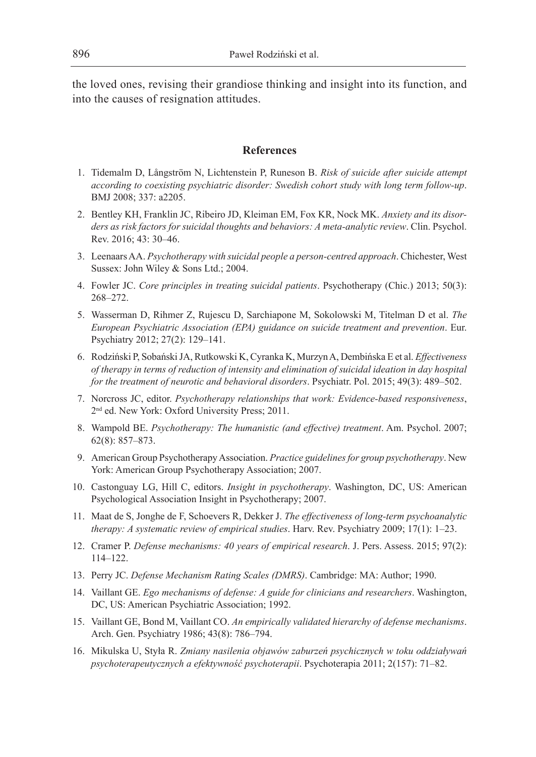the loved ones, revising their grandiose thinking and insight into its function, and into the causes of resignation attitudes.

## **References**

- 1. Tidemalm D, Långström N, Lichtenstein P, Runeson B. *Risk of suicide after suicide attempt according to coexisting psychiatric disorder: Swedish cohort study with long term follow-up*. BMJ 2008; 337: a2205.
- 2. Bentley KH, Franklin JC, Ribeiro JD, Kleiman EM, Fox KR, Nock MK. *Anxiety and its disorders as risk factors for suicidal thoughts and behaviors: A meta-analytic review*. Clin. Psychol. Rev. 2016; 43: 30–46.
- 3. Leenaars AA. *Psychotherapy with suicidal people a person-centred approach*. Chichester, West Sussex: John Wiley & Sons Ltd.; 2004.
- 4. Fowler JC. *Core principles in treating suicidal patients*. Psychotherapy (Chic.) 2013; 50(3): 268–272.
- 5. Wasserman D, Rihmer Z, Rujescu D, Sarchiapone M, Sokolowski M, Titelman D et al. *The European Psychiatric Association (EPA) guidance on suicide treatment and prevention*. Eur. Psychiatry 2012; 27(2): 129–141.
- 6. Rodziński P, Sobański JA, Rutkowski K, Cyranka K, Murzyn A, Dembińska E et al. *Effectiveness of therapy in terms of reduction of intensity and elimination of suicidal ideation in day hospital for the treatment of neurotic and behavioral disorders*. Psychiatr. Pol. 2015; 49(3): 489–502.
- 7. Norcross JC, editor. *Psychotherapy relationships that work: Evidence-based responsiveness*, 2<sup>nd</sup> ed. New York: Oxford University Press; 2011.
- 8. Wampold BE. *Psychotherapy: The humanistic (and effective) treatment*. Am. Psychol. 2007; 62(8): 857–873.
- 9. American Group Psychotherapy Association. *Practice guidelines for group psychotherapy*. New York: American Group Psychotherapy Association; 2007.
- 10. Castonguay LG, Hill C, editors. *Insight in psychotherapy*. Washington, DC, US: American Psychological Association Insight in Psychotherapy; 2007.
- 11. Maat de S, Jonghe de F, Schoevers R, Dekker J. *The effectiveness of long-term psychoanalytic therapy: A systematic review of empirical studies*. Harv. Rev. Psychiatry 2009; 17(1): 1–23.
- 12. Cramer P. *Defense mechanisms: 40 years of empirical research*. J. Pers. Assess. 2015; 97(2): 114–122.
- 13. Perry JC. *Defense Mechanism Rating Scales (DMRS)*. Cambridge: MA: Author; 1990.
- 14. Vaillant GE. *Ego mechanisms of defense: A guide for clinicians and researchers*. Washington, DC, US: American Psychiatric Association; 1992.
- 15. Vaillant GE, Bond M, Vaillant CO. *An empirically validated hierarchy of defense mechanisms*. Arch. Gen. Psychiatry 1986; 43(8): 786–794.
- 16. Mikulska U, Styła R. *Zmiany nasilenia objawów zaburzeń psychicznych w toku oddziaływań psychoterapeutycznych a efektywność psychoterapii*. Psychoterapia 2011; 2(157): 71–82.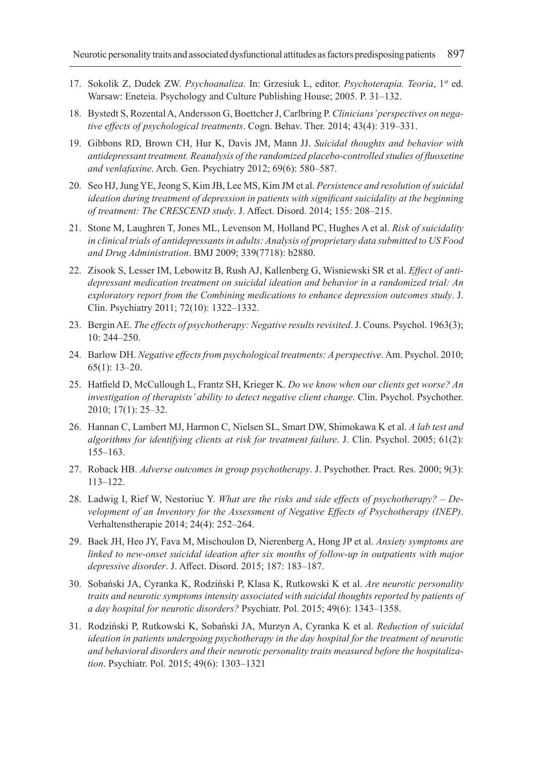- 17. Sokolik Z, Dudek ZW. *Psychoanaliza*. In: Grzesiuk L, editor. *Psychoterapia. Teoria*, 1st ed. Warsaw: Eneteia. Psychology and Culture Publishing House; 2005. P. 31–132.
- 18. Bystedt S, Rozental A, Andersson G, Boettcher J, Carlbring P. *Clinicians' perspectives on negative effects of psychological treatments*. Cogn. Behav. Ther. 2014; 43(4): 319–331.
- 19. Gibbons RD, Brown CH, Hur K, Davis JM, Mann JJ. *Suicidal thoughts and behavior with antidepressant treatment. Reanalysis of the randomized placebo-controlled studies of fluoxetine and venlafaxine*. Arch. Gen. Psychiatry 2012; 69(6): 580–587.
- 20. Seo HJ, Jung YE, Jeong S, Kim JB, Lee MS, Kim JM et al. *Persistence and resolution of suicidal ideation during treatment of depression in patients with significant suicidality at the beginning of treatment: The CRESCEND study*. J. Affect. Disord. 2014; 155: 208–215.
- 21. Stone M, Laughren T, Jones ML, Levenson M, Holland PC, Hughes A et al. *Risk of suicidality in clinical trials of antidepressants in adults: Analysis of proprietary data submitted to US Food and Drug Administration*. BMJ 2009; 339(7718): b2880.
- 22. Zisook S, Lesser IM, Lebowitz B, Rush AJ, Kallenberg G, Wisniewski SR et al. *Effect of antidepressant medication treatment on suicidal ideation and behavior in a randomized trial: An exploratory report from the Combining medications to enhance depression outcomes study*. J. Clin. Psychiatry 2011; 72(10): 1322–1332.
- 23. Bergin AE. *The effects of psychotherapy: Negative results revisited*. J. Couns. Psychol. 1963(3); 10: 244–250.
- 24. Barlow DH. *Negative effects from psychological treatments: A perspective*. Am. Psychol. 2010; 65(1): 13–20.
- 25. Hatfield D, McCullough L, Frantz SH, Krieger K. *Do we know when our clients get worse? An investigation of therapists' ability to detect negative client change*. Clin. Psychol. Psychother. 2010; 17(1): 25–32.
- 26. Hannan C, Lambert MJ, Harmon C, Nielsen SL, Smart DW, Shimokawa K et al. *A lab test and algorithms for identifying clients at risk for treatment failure*. J. Clin. Psychol. 2005; 61(2): 155–163.
- 27. Roback HB. *Adverse outcomes in group psychotherapy*. J. Psychother. Pract. Res. 2000; 9(3): 113–122.
- 28. Ladwig I, Rief W, Nestoriuc Y. *What are the risks and side effects of psychotherapy? Development of an Inventory for the Assessment of Negative Effects of Psychotherapy (INEP)*. Verhaltenstherapie 2014; 24(4): 252–264.
- 29. Baek JH, Heo JY, Fava M, Mischoulon D, Nierenberg A, Hong JP et al. *Anxiety symptoms are linked to new-onset suicidal ideation after six months of follow-up in outpatients with major depressive disorder*. J. Affect. Disord. 2015; 187: 183–187.
- 30. Sobański JA, Cyranka K, Rodziński P, Klasa K, Rutkowski K et al. *Are neurotic personality traits and neurotic symptoms intensity associated with suicidal thoughts reported by patients of a day hospital for neurotic disorders?* Psychiatr. Pol. 2015; 49(6): 1343–1358.
- 31. Rodziński P, Rutkowski K, Sobański JA, Murzyn A, Cyranka K et al. *Reduction of suicidal ideation in patients undergoing psychotherapy in the day hospital for the treatment of neurotic and behavioral disorders and their neurotic personality traits measured before the hospitalization*. Psychiatr. Pol. 2015; 49(6): 1303–1321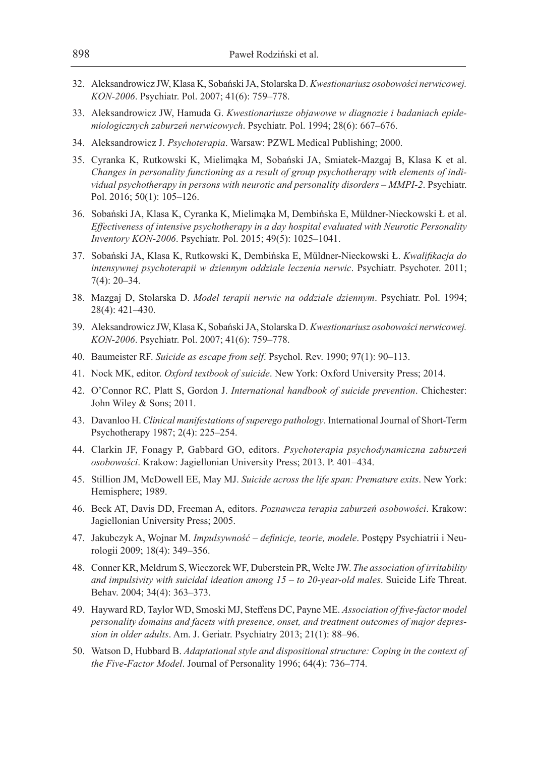- 32. Aleksandrowicz JW, Klasa K, Sobański JA, Stolarska D. *Kwestionariusz osobowości nerwicowej. KON-2006*. Psychiatr. Pol. 2007; 41(6): 759–778.
- 33. Aleksandrowicz JW, Hamuda G. *Kwestionariusze objawowe w diagnozie i badaniach epidemiologicznych zaburzeń nerwicowych*. Psychiatr. Pol. 1994; 28(6): 667–676.
- 34. Aleksandrowicz J. *Psychoterapia*. Warsaw: PZWL Medical Publishing; 2000.
- 35. Cyranka K, Rutkowski K, Mielimąka M, Sobański JA, Smiatek-Mazgaj B, Klasa K et al. *Changes in personality functioning as a result of group psychotherapy with elements of individual psychotherapy in persons with neurotic and personality disorders – MMPI-2*. Psychiatr. Pol. 2016; 50(1): 105–126.
- 36. Sobański JA, Klasa K, Cyranka K, Mielimąka M, Dembińska E, Müldner-Nieckowski Ł et al. *Effectiveness of intensive psychotherapy in a day hospital evaluated with Neurotic Personality Inventory KON-2006*. Psychiatr. Pol. 2015; 49(5): 1025–1041.
- 37. Sobański JA, Klasa K, Rutkowski K, Dembińska E, Müldner-Nieckowski Ł. *Kwalifikacja do intensywnej psychoterapii w dziennym oddziale leczenia nerwic*. Psychiatr. Psychoter. 2011; 7(4): 20–34.
- 38. Mazgaj D, Stolarska D. *Model terapii nerwic na oddziale dziennym*. Psychiatr. Pol. 1994; 28(4): 421–430.
- 39. Aleksandrowicz JW, Klasa K, Sobański JA, Stolarska D. *Kwestionariusz osobowości nerwicowej. KON-2006*. Psychiatr. Pol. 2007; 41(6): 759–778.
- 40. Baumeister RF. *Suicide as escape from self*. Psychol. Rev. 1990; 97(1): 90–113.
- 41. Nock MK, editor. *Oxford textbook of suicide*. New York: Oxford University Press; 2014.
- 42. O'Connor RC, Platt S, Gordon J. *International handbook of suicide prevention*. Chichester: John Wiley & Sons; 2011.
- 43. Davanloo H. *Clinical manifestations of superego pathology*. International Journal of Short-Term Psychotherapy 1987; 2(4): 225–254.
- 44. Clarkin JF, Fonagy P, Gabbard GO, editors. *Psychoterapia psychodynamiczna zaburzeń osobowości*. Krakow: Jagiellonian University Press; 2013. P. 401–434.
- 45. Stillion JM, McDowell EE, May MJ. *Suicide across the life span: Premature exits*. New York: Hemisphere; 1989.
- 46. Beck AT, Davis DD, Freeman A, editors. *Poznawcza terapia zaburzeń osobowości*. Krakow: Jagiellonian University Press; 2005.
- 47. Jakubczyk A, Wojnar M. *Impulsywność definicje, teorie, modele*. Postępy Psychiatrii i Neurologii 2009; 18(4): 349–356.
- 48. Conner KR, Meldrum S, Wieczorek WF, Duberstein PR, Welte JW. *The association of irritability and impulsivity with suicidal ideation among 15 – to 20-year-old males*. Suicide Life Threat. Behav. 2004; 34(4): 363–373.
- 49. Hayward RD, Taylor WD, Smoski MJ, Steffens DC, Payne ME. *Association of five-factor model personality domains and facets with presence, onset, and treatment outcomes of major depression in older adults*. Am. J. Geriatr. Psychiatry 2013; 21(1): 88–96.
- 50. Watson D, Hubbard B. *Adaptational style and dispositional structure: Coping in the context of the Five-Factor Model*. Journal of Personality 1996; 64(4): 736–774.